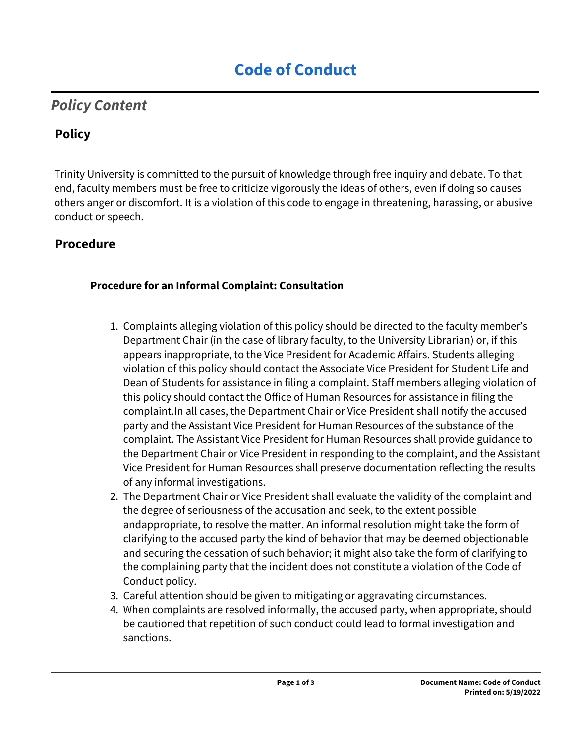# *Policy Content*

# **Policy**

Trinity University is committed to the pursuit of knowledge through free inquiry and debate. To that end, faculty members must be free to criticize vigorously the ideas of others, even if doing so causes others anger or discomfort. It is a violation of this code to engage in threatening, harassing, or abusive conduct or speech.

### **Procedure**

#### **Procedure for an Informal Complaint: Consultation**

- 1. Complaints alleging violation of this policy should be directed to the faculty member's Department Chair (in the case of library faculty, to the University Librarian) or, if this appears inappropriate, to the Vice President for Academic Affairs. Students alleging violation of this policy should contact the Associate Vice President for Student Life and Dean of Students for assistance in filing a complaint. Staff members alleging violation of this policy should contact the Office of Human Resources for assistance in filing the complaint.In all cases, the Department Chair or Vice President shall notify the accused party and the Assistant Vice President for Human Resources of the substance of the complaint. The Assistant Vice President for Human Resources shall provide guidance to the Department Chair or Vice President in responding to the complaint, and the Assistant Vice President for Human Resources shall preserve documentation reflecting the results of any informal investigations.
- 2. The Department Chair or Vice President shall evaluate the validity of the complaint and the degree of seriousness of the accusation and seek, to the extent possible andappropriate, to resolve the matter. An informal resolution might take the form of clarifying to the accused party the kind of behavior that may be deemed objectionable and securing the cessation of such behavior; it might also take the form of clarifying to the complaining party that the incident does not constitute a violation of the Code of Conduct policy.
- 3. Careful attention should be given to mitigating or aggravating circumstances.
- 4. When complaints are resolved informally, the accused party, when appropriate, should be cautioned that repetition of such conduct could lead to formal investigation and sanctions.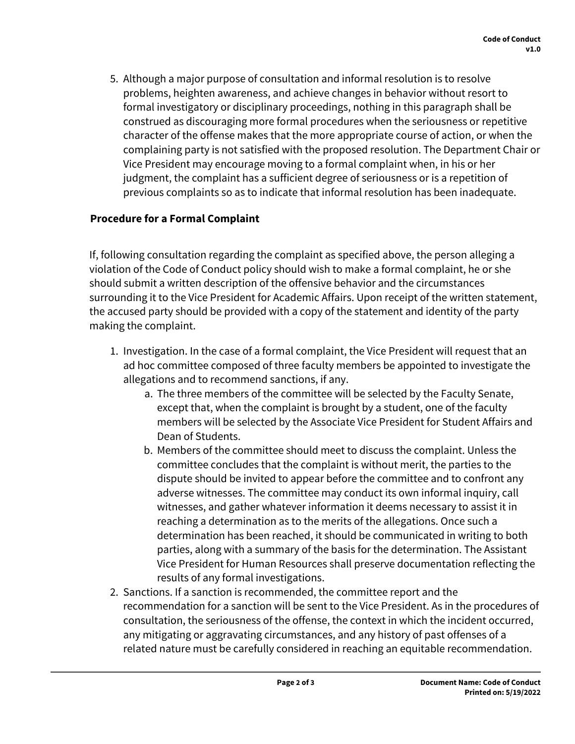5. Although a major purpose of consultation and informal resolution is to resolve problems, heighten awareness, and achieve changes in behavior without resort to formal investigatory or disciplinary proceedings, nothing in this paragraph shall be construed as discouraging more formal procedures when the seriousness or repetitive character of the offense makes that the more appropriate course of action, or when the complaining party is not satisfied with the proposed resolution. The Department Chair or Vice President may encourage moving to a formal complaint when, in his or her judgment, the complaint has a sufficient degree of seriousness or is a repetition of previous complaints so as to indicate that informal resolution has been inadequate.

#### **Procedure for a Formal Complaint**

If, following consultation regarding the complaint as specified above, the person alleging a violation of the Code of Conduct policy should wish to make a formal complaint, he or she should submit a written description of the offensive behavior and the circumstances surrounding it to the Vice President for Academic Affairs. Upon receipt of the written statement, the accused party should be provided with a copy of the statement and identity of the party making the complaint.

- 1. Investigation. In the case of a formal complaint, the Vice President will request that an ad hoc committee composed of three faculty members be appointed to investigate the allegations and to recommend sanctions, if any.
	- a. The three members of the committee will be selected by the Faculty Senate, except that, when the complaint is brought by a student, one of the faculty members will be selected by the Associate Vice President for Student Affairs and Dean of Students.
	- b. Members of the committee should meet to discuss the complaint. Unless the committee concludes that the complaint is without merit, the parties to the dispute should be invited to appear before the committee and to confront any adverse witnesses. The committee may conduct its own informal inquiry, call witnesses, and gather whatever information it deems necessary to assist it in reaching a determination as to the merits of the allegations. Once such a determination has been reached, it should be communicated in writing to both parties, along with a summary of the basis for the determination. The Assistant Vice President for Human Resources shall preserve documentation reflecting the results of any formal investigations.
- 2. Sanctions. If a sanction is recommended, the committee report and the recommendation for a sanction will be sent to the Vice President. As in the procedures of consultation, the seriousness of the offense, the context in which the incident occurred, any mitigating or aggravating circumstances, and any history of past offenses of a related nature must be carefully considered in reaching an equitable recommendation.